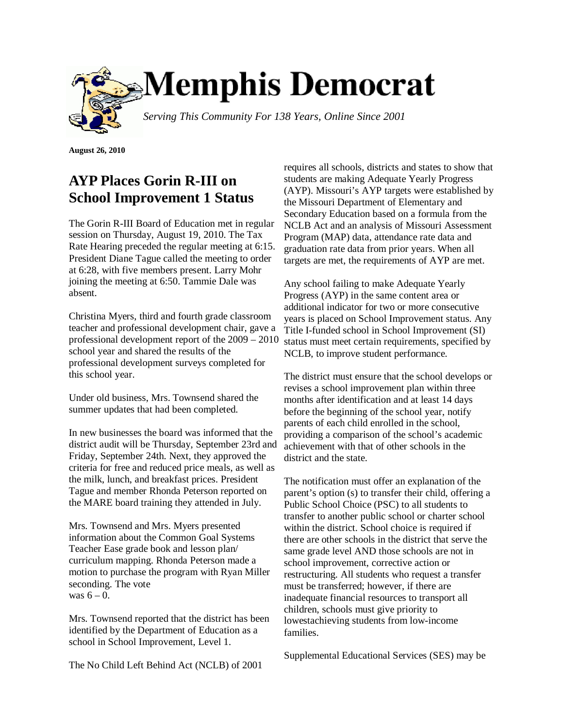

**August 26, 2010**

## **AYP Places Gorin R-III on School Improvement 1 Status**

The Gorin R-III Board of Education met in regular session on Thursday, August 19, 2010. The Tax Rate Hearing preceded the regular meeting at 6:15. President Diane Tague called the meeting to order at 6:28, with five members present. Larry Mohr joining the meeting at 6:50. Tammie Dale was absent.

Christina Myers, third and fourth grade classroom teacher and professional development chair, gave a professional development report of the 2009 – 2010 school year and shared the results of the professional development surveys completed for this school year.

Under old business, Mrs. Townsend shared the summer updates that had been completed.

In new businesses the board was informed that the district audit will be Thursday, September 23rd and Friday, September 24th. Next, they approved the criteria for free and reduced price meals, as well as the milk, lunch, and breakfast prices. President Tague and member Rhonda Peterson reported on the MARE board training they attended in July.

Mrs. Townsend and Mrs. Myers presented information about the Common Goal Systems Teacher Ease grade book and lesson plan/ curriculum mapping. Rhonda Peterson made a motion to purchase the program with Ryan Miller seconding. The vote was  $6 - 0$ .

Mrs. Townsend reported that the district has been identified by the Department of Education as a school in School Improvement, Level 1.

The No Child Left Behind Act (NCLB) of 2001

requires all schools, districts and states to show that students are making Adequate Yearly Progress (AYP). Missouri's AYP targets were established by the Missouri Department of Elementary and Secondary Education based on a formula from the NCLB Act and an analysis of Missouri Assessment Program (MAP) data, attendance rate data and graduation rate data from prior years. When all targets are met, the requirements of AYP are met.

Any school failing to make Adequate Yearly Progress (AYP) in the same content area or additional indicator for two or more consecutive years is placed on School Improvement status. Any Title I-funded school in School Improvement (SI) status must meet certain requirements, specified by NCLB, to improve student performance.

The district must ensure that the school develops or revises a school improvement plan within three months after identification and at least 14 days before the beginning of the school year, notify parents of each child enrolled in the school, providing a comparison of the school's academic achievement with that of other schools in the district and the state.

The notification must offer an explanation of the parent's option (s) to transfer their child, offering a Public School Choice (PSC) to all students to transfer to another public school or charter school within the district. School choice is required if there are other schools in the district that serve the same grade level AND those schools are not in school improvement, corrective action or restructuring. All students who request a transfer must be transferred; however, if there are inadequate financial resources to transport all children, schools must give priority to lowestachieving students from low-income families.

Supplemental Educational Services (SES) may be